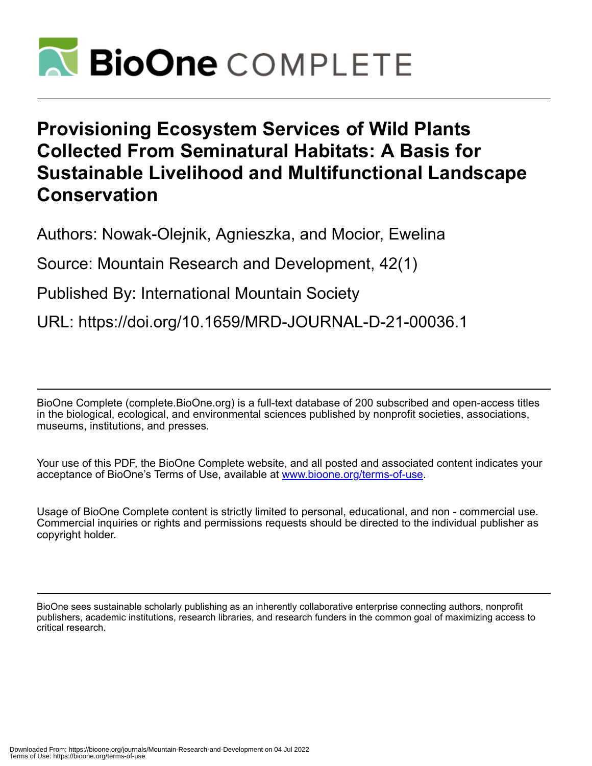

# **Provisioning Ecosystem Services of Wild Plants Collected From Seminatural Habitats: A Basis for Sustainable Livelihood and Multifunctional Landscape Conservation**

Authors: Nowak-Olejnik, Agnieszka, and Mocior, Ewelina

Source: Mountain Research and Development, 42(1)

Published By: International Mountain Society

URL: https://doi.org/10.1659/MRD-JOURNAL-D-21-00036.1

BioOne Complete (complete.BioOne.org) is a full-text database of 200 subscribed and open-access titles in the biological, ecological, and environmental sciences published by nonprofit societies, associations, museums, institutions, and presses.

Your use of this PDF, the BioOne Complete website, and all posted and associated content indicates your acceptance of BioOne's Terms of Use, available at www.bioone.org/terms-of-use.

Usage of BioOne Complete content is strictly limited to personal, educational, and non - commercial use. Commercial inquiries or rights and permissions requests should be directed to the individual publisher as copyright holder.

BioOne sees sustainable scholarly publishing as an inherently collaborative enterprise connecting authors, nonprofit publishers, academic institutions, research libraries, and research funders in the common goal of maximizing access to critical research.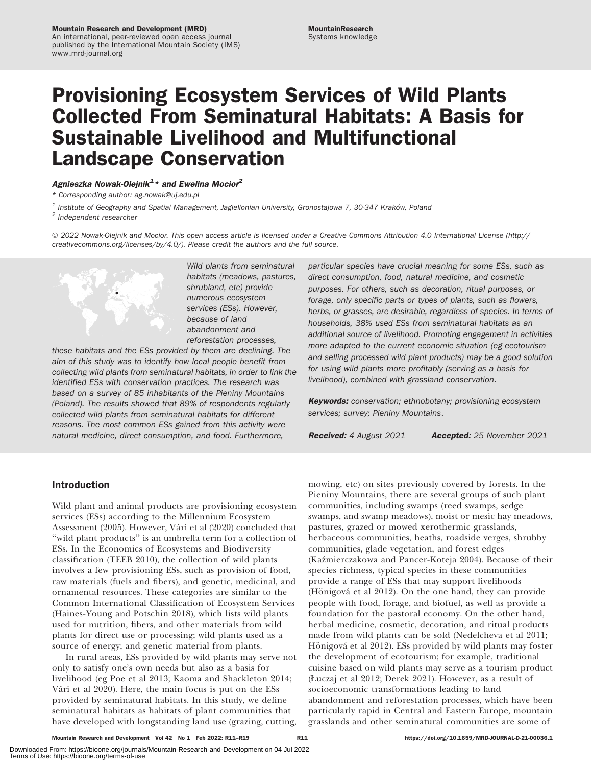# Provisioning Ecosystem Services of Wild Plants Collected From Seminatural Habitats: A Basis for Sustainable Livelihood and Multifunctional Landscape Conservation

# Agnieszka Nowak-Olejnik $^{1\,\star}$  and Ewelina Mocior $^{2}$

\* Corresponding author: [ag.nowak@uj.edu.pl](mailto:ag.nowak@uj.edu.pl)

<sup>1</sup> Institute of Geography and Spatial Management, Jagiellonian University, Gronostajowa 7, 30-347 Kraków, Poland <sup>2</sup> Independent researcher

© 2022 Nowak-Olejnik and Mocior. This open access article is licensed under a Creative Commons Attribution 4.0 International License ([http://](http://creativecommons.org/licenses/by/4.0/) [creativecommons.org/licenses/by/4.0/\)](http://creativecommons.org/licenses/by/4.0/). Please credit the authors and the full source.



Wild plants from seminatural habitats (meadows, pastures, shrubland, etc) provide numerous ecosystem services (ESs). However, because of land abandonment and reforestation processes,

these habitats and the ESs provided by them are declining. The aim of this study was to identify how local people benefit from collecting wild plants from seminatural habitats, in order to link the identified ESs with conservation practices. The research was based on a survey of 85 inhabitants of the Pieniny Mountains (Poland). The results showed that 89% of respondents regularly collected wild plants from seminatural habitats for different reasons. The most common ESs gained from this activity were natural medicine, direct consumption, and food. Furthermore,

particular species have crucial meaning for some ESs, such as direct consumption, food, natural medicine, and cosmetic purposes. For others, such as decoration, ritual purposes, or forage, only specific parts or types of plants, such as flowers, herbs, or grasses, are desirable, regardless of species. In terms of households, 38% used ESs from seminatural habitats as an additional source of livelihood. Promoting engagement in activities more adapted to the current economic situation (eg ecotourism and selling processed wild plant products) may be a good solution for using wild plants more profitably (serving as a basis for livelihood), combined with grassland conservation.

**Keywords:** conservation; ethnobotany; provisioning ecosystem services; survey; Pieniny Mountains.

Received: 4 August 2021 **Accepted:** 25 November 2021

# Introduction

Wild plant and animal products are provisioning ecosystem services (ESs) according to the Millennium Ecosystem Assessment (2005). However, Vári et al (2020) concluded that ''wild plant products'' is an umbrella term for a collection of ESs. In the Economics of Ecosystems and Biodiversity classification (TEEB 2010), the collection of wild plants involves a few provisioning ESs, such as provision of food, raw materials (fuels and fibers), and genetic, medicinal, and ornamental resources. These categories are similar to the Common International Classification of Ecosystem Services (Haines-Young and Potschin 2018), which lists wild plants used for nutrition, fibers, and other materials from wild plants for direct use or processing; wild plants used as a source of energy; and genetic material from plants.

In rural areas, ESs provided by wild plants may serve not only to satisfy one's own needs but also as a basis for livelihood (eg Poe et al 2013; Kaoma and Shackleton 2014; Vári et al 2020). Here, the main focus is put on the ESs provided by seminatural habitats. In this study, we define seminatural habitats as habitats of plant communities that have developed with longstanding land use (grazing, cutting, mowing, etc) on sites previously covered by forests. In the Pieniny Mountains, there are several groups of such plant communities, including swamps (reed swamps, sedge swamps, and swamp meadows), moist or mesic hay meadows, pastures, grazed or mowed xerothermic grasslands, herbaceous communities, heaths, roadside verges, shrubby communities, glade vegetation, and forest edges (Kazmierczakowa and Pancer-Koteja 2004). Because of their ´ species richness, typical species in these communities provide a range of ESs that may support livelihoods (Hönigová et al  $2012$ ). On the one hand, they can provide people with food, forage, and biofuel, as well as provide a foundation for the pastoral economy. On the other hand, herbal medicine, cosmetic, decoration, and ritual products made from wild plants can be sold (Nedelcheva et al 2011; Hönigová et al 2012). ESs provided by wild plants may foster the development of ecotourism; for example, traditional cuisine based on wild plants may serve as a tourism product (Łuczaj et al 2012; Derek 2021). However, as a result of socioeconomic transformations leading to land abandonment and reforestation processes, which have been particularly rapid in Central and Eastern Europe, mountain grasslands and other seminatural communities are some of

Mountain Research and Development Vol 42 No 1 Feb 2022: R11–R19 https://doi.org/10.1659/MRD-JOURNAL-D-21-00036.1 R11

Downloaded From: https://bioone.org/journals/Mountain-Research-and-Development on 04 Jul 2022 Terms of Use: https://bioone.org/terms-of-use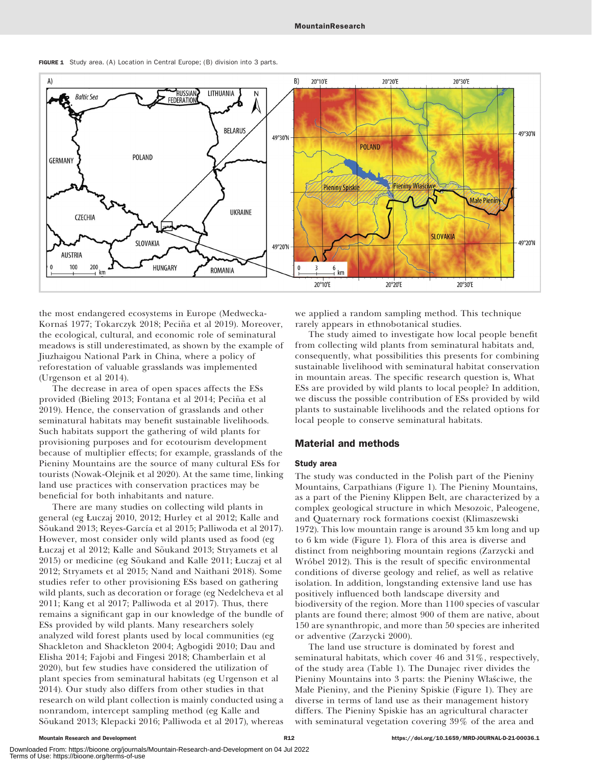

FIGURE 1 Study area. (A) Location in Central Europe; (B) division into 3 parts.

the most endangered ecosystems in Europe (Medwecka-Kornaś 1977; Tokarczyk 2018; Peciña et al 2019). Moreover, the ecological, cultural, and economic role of seminatural meadows is still underestimated, as shown by the example of Jiuzhaigou National Park in China, where a policy of reforestation of valuable grasslands was implemented (Urgenson et al 2014).

The decrease in area of open spaces affects the ESs provided (Bieling 2013; Fontana et al 2014; Pecina et al ~ 2019). Hence, the conservation of grasslands and other seminatural habitats may benefit sustainable livelihoods. Such habitats support the gathering of wild plants for provisioning purposes and for ecotourism development because of multiplier effects; for example, grasslands of the Pieniny Mountains are the source of many cultural ESs for tourists (Nowak-Olejnik et al 2020). At the same time, linking land use practices with conservation practices may be beneficial for both inhabitants and nature.

There are many studies on collecting wild plants in general (eg Łuczaj 2010, 2012; Hurley et al 2012; Kalle and Sõukand 2013; Reyes-García et al 2015; Palliwoda et al 2017). However, most consider only wild plants used as food (eg Łuczaj et al 2012; Kalle and Sõukand 2013; Stryamets et al 2015) or medicine (eg Sõukand and Kalle 2011; Łuczaj et al 2012; Stryamets et al 2015; Nand and Naithani 2018). Some studies refer to other provisioning ESs based on gathering wild plants, such as decoration or forage (eg Nedelcheva et al 2011; Kang et al 2017; Palliwoda et al 2017). Thus, there remains a significant gap in our knowledge of the bundle of ESs provided by wild plants. Many researchers solely analyzed wild forest plants used by local communities (eg Shackleton and Shackleton 2004; Agbogidi 2010; Dau and Elisha 2014; Fajobi and Fingesi 2018; Chamberlain et al 2020), but few studies have considered the utilization of plant species from seminatural habitats (eg Urgenson et al 2014). Our study also differs from other studies in that research on wild plant collection is mainly conducted using a nonrandom, intercept sampling method (eg Kalle and Sõukand 2013; Klepacki 2016; Palliwoda et al 2017), whereas we applied a random sampling method. This technique rarely appears in ethnobotanical studies.

The study aimed to investigate how local people benefit from collecting wild plants from seminatural habitats and, consequently, what possibilities this presents for combining sustainable livelihood with seminatural habitat conservation in mountain areas. The specific research question is, What ESs are provided by wild plants to local people? In addition, we discuss the possible contribution of ESs provided by wild plants to sustainable livelihoods and the related options for local people to conserve seminatural habitats.

# Material and methods

# Study area

The study was conducted in the Polish part of the Pieniny Mountains, Carpathians (Figure 1). The Pieniny Mountains, as a part of the Pieniny Klippen Belt, are characterized by a complex geological structure in which Mesozoic, Paleogene, and Quaternary rock formations coexist (Klimaszewski 1972). This low mountain range is around 35 km long and up to 6 km wide (Figure 1). Flora of this area is diverse and distinct from neighboring mountain regions (Zarzycki and Wróbel 2012). This is the result of specific environmental conditions of diverse geology and relief, as well as relative isolation. In addition, longstanding extensive land use has positively influenced both landscape diversity and biodiversity of the region. More than 1100 species of vascular plants are found there; almost 900 of them are native, about 150 are synanthropic, and more than 50 species are inherited or adventive (Zarzycki 2000).

The land use structure is dominated by forest and seminatural habitats, which cover 46 and 31%, respectively, of the study area (Table 1). The Dunajec river divides the Pieniny Mountains into 3 parts: the Pieniny Właściwe, the Małe Pieniny, and the Pieniny Spiskie (Figure 1). They are diverse in terms of land use as their management history differs. The Pieniny Spiskie has an agricultural character with seminatural vegetation covering 39% of the area and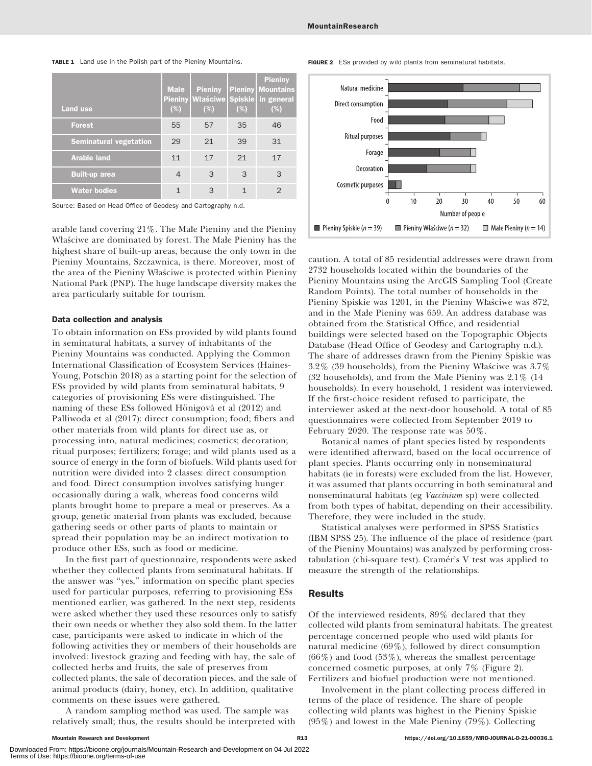Mountain Research and Development **Mountain Research and Development** R13 https://doi.org/10.1659/MRD-JOURNAL-D-21-00036.1 Downloaded From: https://bioone.org/journals/Mountain-Research-and-Development on 04 Jul 2022

Terms of Use: https://bioone.org/terms-of-use

### TABLE 1 Land use in the Polish part of the Pieniny Mountains.

| <b>Land use</b>               | <b>Male</b><br><b>Pieniny</b><br>(%) | <b>Pieniny</b><br>Właściwe Spiskie<br>(%) | (%) | <b>Pieniny</b><br><b>Pieniny   Mountains</b><br>in general<br>(%) |
|-------------------------------|--------------------------------------|-------------------------------------------|-----|-------------------------------------------------------------------|
| <b>Forest</b>                 | 55                                   | 57                                        | 35  | 46                                                                |
| <b>Seminatural vegetation</b> | 29                                   | 21                                        | 39  | 31                                                                |
| <b>Arable land</b>            | 11                                   | 17                                        | 21  | 17                                                                |
| <b>Built-up area</b>          | $\overline{4}$                       | 3                                         | 3   | 3                                                                 |
| <b>Water bodies</b>           | 1                                    | 3                                         |     | $\mathcal{D}$                                                     |

Source: Based on Head Office of Geodesy and Cartography n.d.

arable land covering 21%. The Małe Pieniny and the Pieniny Właściwe are dominated by forest. The Małe Pieniny has the highest share of built-up areas, because the only town in the Pieniny Mountains, Szczawnica, is there. Moreover, most of the area of the Pieniny Właściwe is protected within Pieniny National Park (PNP). The huge landscape diversity makes the area particularly suitable for tourism.

### Data collection and analysis

To obtain information on ESs provided by wild plants found in seminatural habitats, a survey of inhabitants of the Pieniny Mountains was conducted. Applying the Common International Classification of Ecosystem Services (Haines-Young, Potschin 2018) as a starting point for the selection of ESs provided by wild plants from seminatural habitats, 9 categories of provisioning ESs were distinguished. The naming of these ESs followed Hönigová et al (2012) and Palliwoda et al (2017): direct consumption; food; fibers and other materials from wild plants for direct use as, or processing into, natural medicines; cosmetics; decoration; ritual purposes; fertilizers; forage; and wild plants used as a source of energy in the form of biofuels. Wild plants used for nutrition were divided into 2 classes: direct consumption and food. Direct consumption involves satisfying hunger occasionally during a walk, whereas food concerns wild plants brought home to prepare a meal or preserves. As a group, genetic material from plants was excluded, because gathering seeds or other parts of plants to maintain or spread their population may be an indirect motivation to produce other ESs, such as food or medicine.

In the first part of questionnaire, respondents were asked whether they collected plants from seminatural habitats. If the answer was ''yes,'' information on specific plant species used for particular purposes, referring to provisioning ESs mentioned earlier, was gathered. In the next step, residents were asked whether they used these resources only to satisfy their own needs or whether they also sold them. In the latter case, participants were asked to indicate in which of the following activities they or members of their households are involved: livestock grazing and feeding with hay, the sale of collected herbs and fruits, the sale of preserves from collected plants, the sale of decoration pieces, and the sale of animal products (dairy, honey, etc). In addition, qualitative comments on these issues were gathered.

A random sampling method was used. The sample was relatively small; thus, the results should be interpreted with FIGURE 2 ESs provided by wild plants from seminatural habitats.



caution. A total of 85 residential addresses were drawn from 2732 households located within the boundaries of the Pieniny Mountains using the ArcGIS Sampling Tool (Create Random Points). The total number of households in the Pieniny Spiskie was 1201, in the Pieniny Właściwe was 872, and in the Małe Pieniny was 659. An address database was obtained from the Statistical Office, and residential buildings were selected based on the Topographic Objects Database (Head Office of Geodesy and Cartography n.d.). The share of addresses drawn from the Pieniny Spiskie was  $3.2\%$  (39 households), from the Pieniny Właściwe was  $3.7\%$ (32 households), and from the Małe Pieniny was 2.1% (14 households). In every household, 1 resident was interviewed. If the first-choice resident refused to participate, the interviewer asked at the next-door household. A total of 85 questionnaires were collected from September 2019 to February 2020. The response rate was 50%.

Botanical names of plant species listed by respondents were identified afterward, based on the local occurrence of plant species. Plants occurring only in nonseminatural habitats (ie in forests) were excluded from the list. However, it was assumed that plants occurring in both seminatural and nonseminatural habitats (eg Vaccinium sp) were collected from both types of habitat, depending on their accessibility. Therefore, they were included in the study.

Statistical analyses were performed in SPSS Statistics (IBM SPSS 25). The influence of the place of residence (part of the Pieniny Mountains) was analyzed by performing crosstabulation (chi-square test). Cramér's V test was applied to measure the strength of the relationships.

# Results

Of the interviewed residents, 89% declared that they collected wild plants from seminatural habitats. The greatest percentage concerned people who used wild plants for natural medicine (69%), followed by direct consumption  $(66\%)$  and food  $(53\%)$ , whereas the smallest percentage concerned cosmetic purposes, at only 7% (Figure 2). Fertilizers and biofuel production were not mentioned.

Involvement in the plant collecting process differed in terms of the place of residence. The share of people collecting wild plants was highest in the Pieniny Spiskie (95%) and lowest in the Małe Pieniny (79%). Collecting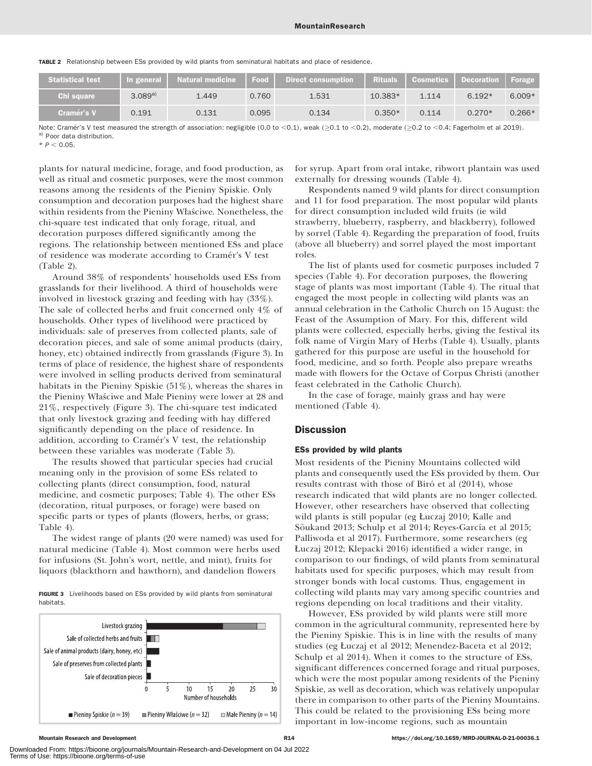|  | <b>TABLE 2</b> Relationship between ESs provided by wild plants from seminatural habitats and place of residence. |  |  |  |  |  |
|--|-------------------------------------------------------------------------------------------------------------------|--|--|--|--|--|
|--|-------------------------------------------------------------------------------------------------------------------|--|--|--|--|--|

| <b>Statistical test</b> | In general  | l Natural medicine <b>\</b> | Food  | <b>Direct consumption</b> | <b>Rituals</b> | <b>Cosmetics</b> | <b>Decoration</b> | Forage   |
|-------------------------|-------------|-----------------------------|-------|---------------------------|----------------|------------------|-------------------|----------|
| <b>Chi square</b>       | $3.089^{a}$ | 1.449                       | 0.760 | 1.531                     | 10.383*        | 1.114            | $6.192*$          | $6.009*$ |
| <b>Cramér's V</b>       | 0.191       | 0.131                       | 0.095 | 0.134                     | $0.350*$       | 0.114            | $0.270*$          | $0.266*$ |

Note: Cramér's V test measured the strength of association: negligible (0.0 to <0.1), weak ( $\geq$ 0.1 to <0.2), moderate ( $\geq$ 0.2 to <0.4; Fagerholm et al 2019). a) Poor data distribution.

 $*$  P < 0.05.

plants for natural medicine, forage, and food production, as well as ritual and cosmetic purposes, were the most common reasons among the residents of the Pieniny Spiskie. Only consumption and decoration purposes had the highest share within residents from the Pieniny Właściwe. Nonetheless, the chi-square test indicated that only forage, ritual, and decoration purposes differed significantly among the regions. The relationship between mentioned ESs and place of residence was moderate according to Cramér's V test (Table 2).

Around 38% of respondents' households used ESs from grasslands for their livelihood. A third of households were involved in livestock grazing and feeding with hay (33%). The sale of collected herbs and fruit concerned only 4% of households. Other types of livelihood were practiced by individuals: sale of preserves from collected plants, sale of decoration pieces, and sale of some animal products (dairy, honey, etc) obtained indirectly from grasslands (Figure 3). In terms of place of residence, the highest share of respondents were involved in selling products derived from seminatural habitats in the Pieniny Spiskie (51%), whereas the shares in the Pieniny Właściwe and Małe Pieniny were lower at 28 and 21%, respectively (Figure 3). The chi-square test indicated that only livestock grazing and feeding with hay differed significantly depending on the place of residence. In addition, according to Cramér's V test, the relationship between these variables was moderate (Table 3).

The results showed that particular species had crucial meaning only in the provision of some ESs related to collecting plants (direct consumption, food, natural medicine, and cosmetic purposes; Table 4). The other ESs (decoration, ritual purposes, or forage) were based on specific parts or types of plants (flowers, herbs, or grass; Table 4).

The widest range of plants (20 were named) was used for natural medicine (Table 4). Most common were herbs used for infusions (St. John's wort, nettle, and mint), fruits for liquors (blackthorn and hawthorn), and dandelion flowers

FIGURE 3 Livelihoods based on ESs provided by wild plants from seminatural habitats.



for syrup. Apart from oral intake, ribwort plantain was used externally for dressing wounds (Table 4).

Respondents named 9 wild plants for direct consumption and 11 for food preparation. The most popular wild plants for direct consumption included wild fruits (ie wild strawberry, blueberry, raspberry, and blackberry), followed by sorrel (Table 4). Regarding the preparation of food, fruits (above all blueberry) and sorrel played the most important roles.

The list of plants used for cosmetic purposes included 7 species (Table 4). For decoration purposes, the flowering stage of plants was most important (Table 4). The ritual that engaged the most people in collecting wild plants was an annual celebration in the Catholic Church on 15 August: the Feast of the Assumption of Mary. For this, different wild plants were collected, especially herbs, giving the festival its folk name of Virgin Mary of Herbs (Table 4). Usually, plants gathered for this purpose are useful in the household for food, medicine, and so forth. People also prepare wreaths made with flowers for the Octave of Corpus Christi (another feast celebrated in the Catholic Church).

In the case of forage, mainly grass and hay were mentioned (Table 4).

# **Discussion**

# ESs provided by wild plants

Most residents of the Pieniny Mountains collected wild plants and consequently used the ESs provided by them. Our results contrast with those of Biró et al (2014), whose research indicated that wild plants are no longer collected. However, other researchers have observed that collecting wild plants is still popular (eg Łuczaj 2010; Kalle and Sõukand 2013; Schulp et al 2014; Reyes-García et al 2015; Palliwoda et al 2017). Furthermore, some researchers (eg Łuczaj 2012; Klepacki 2016) identified a wider range, in comparison to our findings, of wild plants from seminatural habitats used for specific purposes, which may result from stronger bonds with local customs. Thus, engagement in collecting wild plants may vary among specific countries and regions depending on local traditions and their vitality.

However, ESs provided by wild plants were still more common in the agricultural community, represented here by the Pieniny Spiskie. This is in line with the results of many studies (eg Łuczaj et al 2012; Menendez-Baceta et al 2012; Schulp et al 2014). When it comes to the structure of ESs, significant differences concerned forage and ritual purposes, which were the most popular among residents of the Pieniny Spiskie, as well as decoration, which was relatively unpopular there in comparison to other parts of the Pieniny Mountains. This could be related to the provisioning ESs being more important in low-income regions, such as mountain

Downloaded From: https://bioone.org/journals/Mountain-Research-and-Development on 04 Jul 2022 Terms of Use: https://bioone.org/terms-of-use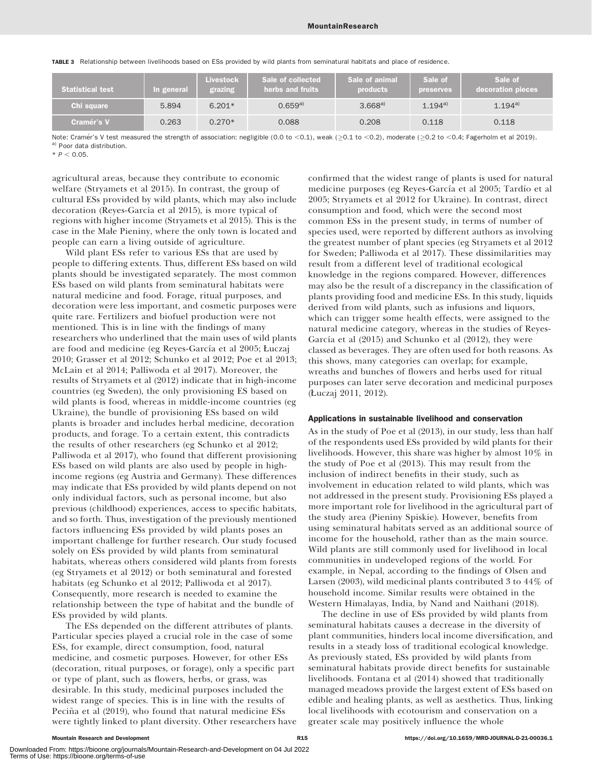TABLE 3 Relationship between livelihoods based on ESs provided by wild plants from seminatural habitats and place of residence.

| <b>Statistical test</b> | In general | <b>Livestock</b><br>grazing | Sale of collected<br>herbs and fruits | Sale of animal<br><b>products</b> | Sale of<br><b>preserves</b> | Sale of<br>decoration pieces |
|-------------------------|------------|-----------------------------|---------------------------------------|-----------------------------------|-----------------------------|------------------------------|
| Chi square              | 5.894      | $6.201*$                    | $0.659^{a}$                           | $3.668^{a}$                       | $1.194^{a}$                 | $1.194^{a}$                  |
| Cramér's V              | 0.263      | $0.270*$                    | 0.088                                 | 0.208                             | 0.118                       | 0.118                        |

Note: Cramér's V test measured the strength of association: negligible (0.0 to <0.1), weak ( $\geq$ 0.1 to <0.2), moderate ( $\geq$ 0.2 to <0.4; Fagerholm et al 2019). a) Poor data distribution.

 $* P < 0.05$ 

agricultural areas, because they contribute to economic welfare (Stryamets et al 2015). In contrast, the group of cultural ESs provided by wild plants, which may also include decoration (Reyes-García et al 2015), is more typical of regions with higher income (Stryamets et al 2015). This is the case in the Małe Pieniny, where the only town is located and people can earn a living outside of agriculture.

Wild plant ESs refer to various ESs that are used by people to differing extents. Thus, different ESs based on wild plants should be investigated separately. The most common ESs based on wild plants from seminatural habitats were natural medicine and food. Forage, ritual purposes, and decoration were less important, and cosmetic purposes were quite rare. Fertilizers and biofuel production were not mentioned. This is in line with the findings of many researchers who underlined that the main uses of wild plants are food and medicine (eg Reyes-García et al 2005; Łuczaj 2010; Grasser et al 2012; Schunko et al 2012; Poe et al 2013; McLain et al 2014; Palliwoda et al 2017). Moreover, the results of Stryamets et al (2012) indicate that in high-income countries (eg Sweden), the only provisioning ES based on wild plants is food, whereas in middle-income countries (eg Ukraine), the bundle of provisioning ESs based on wild plants is broader and includes herbal medicine, decoration products, and forage. To a certain extent, this contradicts the results of other researchers (eg Schunko et al 2012; Palliwoda et al 2017), who found that different provisioning ESs based on wild plants are also used by people in highincome regions (eg Austria and Germany). These differences may indicate that ESs provided by wild plants depend on not only individual factors, such as personal income, but also previous (childhood) experiences, access to specific habitats, and so forth. Thus, investigation of the previously mentioned factors influencing ESs provided by wild plants poses an important challenge for further research. Our study focused solely on ESs provided by wild plants from seminatural habitats, whereas others considered wild plants from forests (eg Stryamets et al 2012) or both seminatural and forested habitats (eg Schunko et al 2012; Palliwoda et al 2017). Consequently, more research is needed to examine the relationship between the type of habitat and the bundle of ESs provided by wild plants.

The ESs depended on the different attributes of plants. Particular species played a crucial role in the case of some ESs, for example, direct consumption, food, natural medicine, and cosmetic purposes. However, for other ESs (decoration, ritual purposes, or forage), only a specific part or type of plant, such as flowers, herbs, or grass, was desirable. In this study, medicinal purposes included the widest range of species. This is in line with the results of Peciña et al (2019), who found that natural medicine ESs were tightly linked to plant diversity. Other researchers have confirmed that the widest range of plants is used for natural medicine purposes (eg Reyes-García et al 2005; Tardío et al 2005; Stryamets et al 2012 for Ukraine). In contrast, direct consumption and food, which were the second most common ESs in the present study, in terms of number of species used, were reported by different authors as involving the greatest number of plant species (eg Stryamets et al 2012 for Sweden; Palliwoda et al 2017). These dissimilarities may result from a different level of traditional ecological knowledge in the regions compared. However, differences may also be the result of a discrepancy in the classification of plants providing food and medicine ESs. In this study, liquids derived from wild plants, such as infusions and liquors, which can trigger some health effects, were assigned to the natural medicine category, whereas in the studies of Reyes-García et al  $(2015)$  and Schunko et al  $(2012)$ , they were classed as beverages. They are often used for both reasons. As this shows, many categories can overlap; for example, wreaths and bunches of flowers and herbs used for ritual purposes can later serve decoration and medicinal purposes (Łuczaj 2011, 2012).

### Applications in sustainable livelihood and conservation

As in the study of Poe et al (2013), in our study, less than half of the respondents used ESs provided by wild plants for their livelihoods. However, this share was higher by almost 10% in the study of Poe et al (2013). This may result from the inclusion of indirect benefits in their study, such as involvement in education related to wild plants, which was not addressed in the present study. Provisioning ESs played a more important role for livelihood in the agricultural part of the study area (Pieniny Spiskie). However, benefits from using seminatural habitats served as an additional source of income for the household, rather than as the main source. Wild plants are still commonly used for livelihood in local communities in undeveloped regions of the world. For example, in Nepal, according to the findings of Olsen and Larsen (2003), wild medicinal plants contributed 3 to 44% of household income. Similar results were obtained in the Western Himalayas, India, by Nand and Naithani (2018).

The decline in use of ESs provided by wild plants from seminatural habitats causes a decrease in the diversity of plant communities, hinders local income diversification, and results in a steady loss of traditional ecological knowledge. As previously stated, ESs provided by wild plants from seminatural habitats provide direct benefits for sustainable livelihoods. Fontana et al (2014) showed that traditionally managed meadows provide the largest extent of ESs based on edible and healing plants, as well as aesthetics. Thus, linking local livelihoods with ecotourism and conservation on a greater scale may positively influence the whole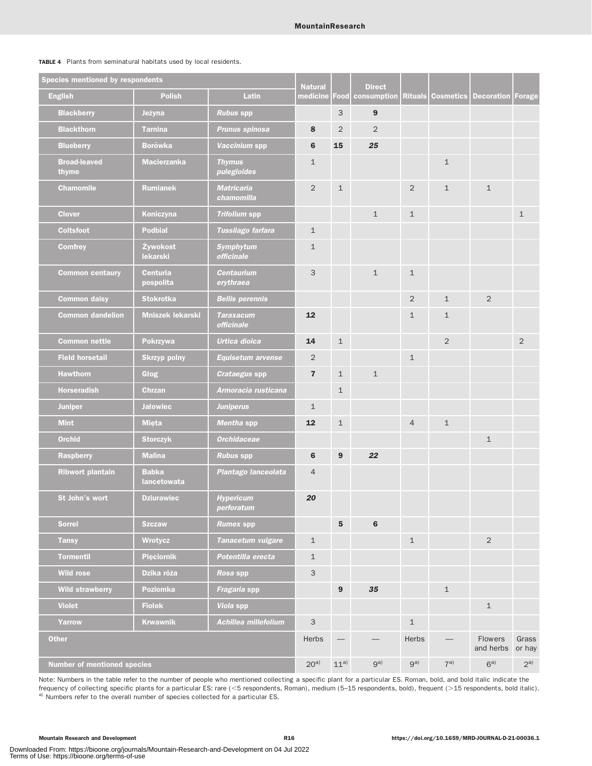| TABLE 4 Plants from seminatural habitats used by local residents. |  |  |  |  |  |  |  |
|-------------------------------------------------------------------|--|--|--|--|--|--|--|
|-------------------------------------------------------------------|--|--|--|--|--|--|--|

| <b>Species mentioned by respondents</b> |                              | <b>Natural</b>                  |                           | <b>Direct</b>    |                  |                |                  |                      |                 |
|-----------------------------------------|------------------------------|---------------------------------|---------------------------|------------------|------------------|----------------|------------------|----------------------|-----------------|
| <b>English</b>                          | <b>Polish</b>                | <b>Latin</b>                    | medicine                  | Food             | consumption      | <b>Rituals</b> | <b>Cosmetics</b> | <b>Decoration</b>    | Forage          |
| <b>Blackberry</b>                       | Jeżyna                       | <b>Rubus spp</b>                |                           | 3                | $\boldsymbol{9}$ |                |                  |                      |                 |
| <b>Blackthorn</b>                       | <b>Tarnina</b>               | <b>Prunus spinosa</b>           | 8                         | $\overline{2}$   | $\overline{2}$   |                |                  |                      |                 |
| <b>Blueberry</b>                        | <b>Borówka</b>               | Vaccinium spp                   | 6                         | 15               | 25               |                |                  |                      |                 |
| <b>Broad-leaved</b><br>thyme            | <b>Macierzanka</b>           | <b>Thymus</b><br>pulegioides    | $\mathbf{1}$              |                  |                  |                | $\mathbf{1}$     |                      |                 |
| <b>Chamomile</b>                        | <b>Rumianek</b>              | <b>Matricaria</b><br>chamomilla | 2                         | $\mathbf 1$      |                  | 2              | $\mathbf{1}$     | $\mathbf{1}$         |                 |
| <b>Clover</b>                           | Koniczyna                    | <b>Trifolium spp</b>            |                           |                  | $\mathbf{1}$     | $\mathbf{1}$   |                  |                      | $\mathbf{1}$    |
| <b>Coltsfoot</b>                        | <b>Podbiał</b>               | Tussilago farfara               | $\mathbf{1}$              |                  |                  |                |                  |                      |                 |
| <b>Comfrey</b>                          | Żywokost<br>lekarski         | <b>Symphytum</b><br>officinale  | $\mathbf{1}$              |                  |                  |                |                  |                      |                 |
| <b>Common centaury</b>                  | <b>Centuria</b><br>pospolita | <b>Centaurium</b><br>erythraea  | 3                         |                  | $\mathbf{1}$     | $\mathbf{1}$   |                  |                      |                 |
| <b>Common daisy</b>                     | <b>Stokrotka</b>             | <b>Bellis perennis</b>          |                           |                  |                  | 2              | $\mathbf{1}$     | $\overline{2}$       |                 |
| <b>Common dandelion</b>                 | <b>Mniszek lekarski</b>      | <b>Taraxacum</b><br>officinale  | 12                        |                  |                  | $\mathbf{1}$   | $\mathbf 1$      |                      |                 |
| <b>Common nettle</b>                    | Pokrzywa                     | <b>Urtica dioica</b>            | 14                        | $\mathbf 1$      |                  |                | 2                |                      | $\overline{2}$  |
| <b>Field horsetail</b>                  | <b>Skrzyp polny</b>          | <b>Equisetum arvense</b>        | 2                         |                  |                  | $\mathbf{1}$   |                  |                      |                 |
| <b>Hawthorn</b>                         | Głog                         | Crataegus spp                   | $\overline{7}$            | $\mathbf{1}$     | $\mathbf{1}$     |                |                  |                      |                 |
| <b>Horseradish</b>                      | <b>Chrzan</b>                | Armoracia rusticana             |                           | $\mathbf 1$      |                  |                |                  |                      |                 |
| <b>Juniper</b>                          | <b>Jałowiec</b>              | <b>Juniperus</b>                | $\mathbf{1}$              |                  |                  |                |                  |                      |                 |
| <b>Mint</b>                             | <b>Mięta</b>                 | Mentha spp                      | 12                        | $\mathbf 1$      |                  | $\overline{4}$ | $\mathbf{1}$     |                      |                 |
| <b>Orchid</b>                           | <b>Storczyk</b>              | <b>Orchidaceae</b>              |                           |                  |                  |                |                  | $\mathbf{1}$         |                 |
| <b>Raspberry</b>                        | <b>Malina</b>                | <b>Rubus spp</b>                | 6                         | 9                | 22               |                |                  |                      |                 |
| <b>Ribwort plantain</b>                 | <b>Babka</b><br>lancetowata  | Plantago lanceolata             | $\overline{4}$            |                  |                  |                |                  |                      |                 |
| St John's wort                          | <b>Dziurawiec</b>            | <b>Hypericum</b><br>perroratum  | 20                        |                  |                  |                |                  |                      |                 |
| <b>Sorrel</b>                           | <b>Szczaw</b>                | <b>Rumex spp</b>                |                           | 5                | $6\phantom{1}$   |                |                  |                      |                 |
| <b>Tansy</b>                            | Wrotycz                      | Tanacetum vulgare               | $\mathbf 1$               |                  |                  | $\mathbf{1}$   |                  | $\overline{2}$       |                 |
| <b>Tormentil</b>                        | <b>Pięciornik</b>            | Potentilla erecta               | $\mathbf{1}$              |                  |                  |                |                  |                      |                 |
| <b>Wild rose</b>                        | Dzika róża                   | Rosa spp                        | $\ensuremath{\mathsf{3}}$ |                  |                  |                |                  |                      |                 |
| <b>Wild strawberry</b>                  | <b>Poziomka</b>              | Fragaria spp                    |                           | $\boldsymbol{9}$ | 35               |                | $\mathbf 1$      |                      |                 |
| <b>Violet</b>                           | <b>Fiolek</b>                | Viola spp                       |                           |                  |                  |                |                  | $\mathbf{1}$         |                 |
| Yarrow                                  | <b>Krwawnik</b>              | Achillea millefolium            | $\mathsf 3$               |                  |                  | $\mathbf{1}$   |                  |                      |                 |
| <b>Other</b>                            |                              |                                 | Herbs                     |                  |                  | Herbs          |                  | Flowers<br>and herbs | Grass<br>or hay |
| <b>Number of mentioned species</b>      |                              |                                 | $20^{a}$                  | $11^{a}$         | $9^{a)}$         | $9^{a)}$       | $7^{a)}$         | 6 <sup>a</sup>       | $2^{a)}$        |

Note: Numbers in the table refer to the number of people who mentioned collecting a specific plant for a particular ES. Roman, bold, and bold italic indicate the frequency of collecting specific plants for a particular ES: rare (<5 respondents, Roman), medium (5-15 respondents, bold), frequent (>15 respondents, bold italic). a) Numbers refer to the overall number of species collected for a particular ES.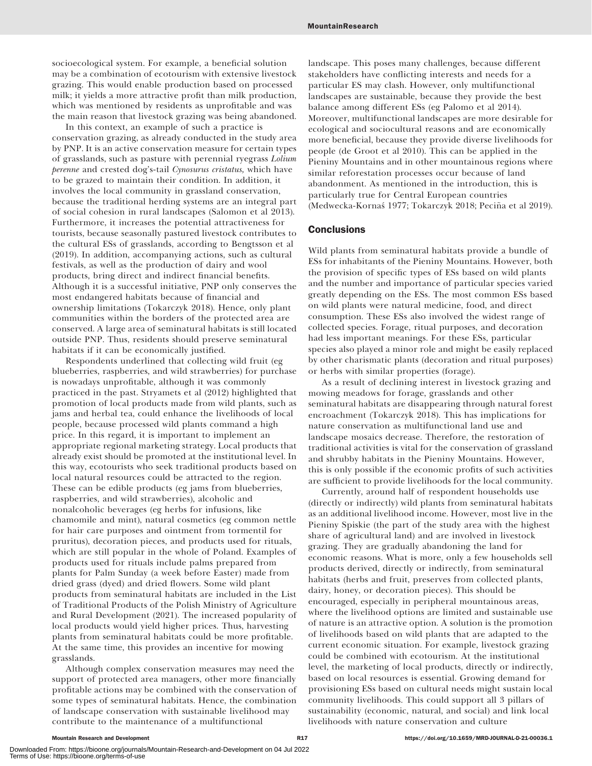socioecological system. For example, a beneficial solution may be a combination of ecotourism with extensive livestock grazing. This would enable production based on processed milk; it yields a more attractive profit than milk production, which was mentioned by residents as unprofitable and was the main reason that livestock grazing was being abandoned.

In this context, an example of such a practice is conservation grazing, as already conducted in the study area by PNP. It is an active conservation measure for certain types of grasslands, such as pasture with perennial ryegrass Lolium perenne and crested dog's-tail Cynosurus cristatus, which have to be grazed to maintain their condition. In addition, it involves the local community in grassland conservation, because the traditional herding systems are an integral part of social cohesion in rural landscapes (Salomon et al 2013). Furthermore, it increases the potential attractiveness for tourists, because seasonally pastured livestock contributes to the cultural ESs of grasslands, according to Bengtsson et al (2019). In addition, accompanying actions, such as cultural festivals, as well as the production of dairy and wool products, bring direct and indirect financial benefits. Although it is a successful initiative, PNP only conserves the most endangered habitats because of financial and ownership limitations (Tokarczyk 2018). Hence, only plant communities within the borders of the protected area are conserved. A large area of seminatural habitats is still located outside PNP. Thus, residents should preserve seminatural habitats if it can be economically justified.

Respondents underlined that collecting wild fruit (eg blueberries, raspberries, and wild strawberries) for purchase is nowadays unprofitable, although it was commonly practiced in the past. Stryamets et al (2012) highlighted that promotion of local products made from wild plants, such as jams and herbal tea, could enhance the livelihoods of local people, because processed wild plants command a high price. In this regard, it is important to implement an appropriate regional marketing strategy. Local products that already exist should be promoted at the institutional level. In this way, ecotourists who seek traditional products based on local natural resources could be attracted to the region. These can be edible products (eg jams from blueberries, raspberries, and wild strawberries), alcoholic and nonalcoholic beverages (eg herbs for infusions, like chamomile and mint), natural cosmetics (eg common nettle for hair care purposes and ointment from tormentil for pruritus), decoration pieces, and products used for rituals, which are still popular in the whole of Poland. Examples of products used for rituals include palms prepared from plants for Palm Sunday (a week before Easter) made from dried grass (dyed) and dried flowers. Some wild plant products from seminatural habitats are included in the List of Traditional Products of the Polish Ministry of Agriculture and Rural Development (2021). The increased popularity of local products would yield higher prices. Thus, harvesting plants from seminatural habitats could be more profitable. At the same time, this provides an incentive for mowing grasslands.

Although complex conservation measures may need the support of protected area managers, other more financially profitable actions may be combined with the conservation of some types of seminatural habitats. Hence, the combination of landscape conservation with sustainable livelihood may contribute to the maintenance of a multifunctional

landscape. This poses many challenges, because different stakeholders have conflicting interests and needs for a particular ES may clash. However, only multifunctional landscapes are sustainable, because they provide the best balance among different ESs (eg Palomo et al 2014). Moreover, multifunctional landscapes are more desirable for ecological and sociocultural reasons and are economically more beneficial, because they provide diverse livelihoods for people (de Groot et al 2010). This can be applied in the Pieniny Mountains and in other mountainous regions where similar reforestation processes occur because of land abandonment. As mentioned in the introduction, this is particularly true for Central European countries (Medwecka-Kornaś 1977; Tokarczyk 2018; Peciña et al 2019).

# **Conclusions**

Wild plants from seminatural habitats provide a bundle of ESs for inhabitants of the Pieniny Mountains. However, both the provision of specific types of ESs based on wild plants and the number and importance of particular species varied greatly depending on the ESs. The most common ESs based on wild plants were natural medicine, food, and direct consumption. These ESs also involved the widest range of collected species. Forage, ritual purposes, and decoration had less important meanings. For these ESs, particular species also played a minor role and might be easily replaced by other charismatic plants (decoration and ritual purposes) or herbs with similar properties (forage).

As a result of declining interest in livestock grazing and mowing meadows for forage, grasslands and other seminatural habitats are disappearing through natural forest encroachment (Tokarczyk 2018). This has implications for nature conservation as multifunctional land use and landscape mosaics decrease. Therefore, the restoration of traditional activities is vital for the conservation of grassland and shrubby habitats in the Pieniny Mountains. However, this is only possible if the economic profits of such activities are sufficient to provide livelihoods for the local community.

Currently, around half of respondent households use (directly or indirectly) wild plants from seminatural habitats as an additional livelihood income. However, most live in the Pieniny Spiskie (the part of the study area with the highest share of agricultural land) and are involved in livestock grazing. They are gradually abandoning the land for economic reasons. What is more, only a few households sell products derived, directly or indirectly, from seminatural habitats (herbs and fruit, preserves from collected plants, dairy, honey, or decoration pieces). This should be encouraged, especially in peripheral mountainous areas, where the livelihood options are limited and sustainable use of nature is an attractive option. A solution is the promotion of livelihoods based on wild plants that are adapted to the current economic situation. For example, livestock grazing could be combined with ecotourism. At the institutional level, the marketing of local products, directly or indirectly, based on local resources is essential. Growing demand for provisioning ESs based on cultural needs might sustain local community livelihoods. This could support all 3 pillars of sustainability (economic, natural, and social) and link local livelihoods with nature conservation and culture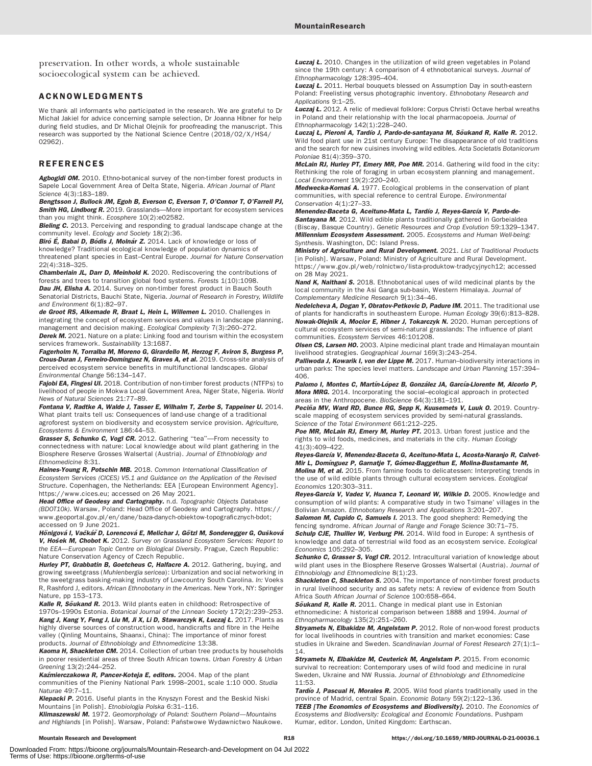preservation. In other words, a whole sustainable socioecological system can be achieved.

## ACKNOWLEDGMENTS

We thank all informants who participated in the research. We are grateful to Dr Michał Jakiel for advice concerning sample selection, Dr Joanna Hibner for help during field studies, and Dr Michał Olejnik for proofreading the manuscript. This research was supported by the National Science Centre (2018/02/X/HS4/ 02962).

## REFERENCES

Agbogidi OM. 2010. Ethno-botanical survey of the non-timber forest products in Sapele Local Government Area of Delta State, Nigeria. African Journal of Plant Science 4(3):183–189.

Bengtsson J, Bullock JM, Egoh B, Everson C, Everson T, O'Connor T, O'Farrell PJ, **Smith HG, Lindborg R.** 2019. Grasslands—More important for ecosystem services than you might think. Ecosphere 10(2):e02582.

**Bieling C.** 2013. Perceiving and responding to gradual landscape change at the community level. Ecology and Society 18(2):36.

Biró E, Babai D, Bódis J, Molnár Z. 2014. Lack of knowledge or loss of knowledge? Traditional ecological knowledge of population dynamics of threatened plant species in East–Central Europe. Journal for Nature Conservation 22(4):318–325.

Chamberlain JL, Darr D, Meinhold K. 2020. Rediscovering the contributions of forests and trees to transition global food systems. Forests 1(10):1098. Dau JH, Elisha A. 2014. Survey on non-timber forest product in Bauch South Senatorial Districts, Bauchi State, Nigeria. Journal of Research in Forestry, Wildlife and Environment 6(1):82-97.

de Groot RS, Alkemade R, Braat L, Hein L, Willemen L. 2010. Challenges in integrating the concept of ecosystem services and values in landscape planning, management and decision making. Ecological Complexity 7(3):260–272. Derek M. 2021. Nature on a plate: Linking food and tourism within the ecosystem services framework. Sustainability 13:1687.

Fagerholm N, Torralba M, Moreno G, Girardello M, Herzog F, Aviron S, Burgess P, Crous-Duran J, Ferreiro-Domínguez N, Graves A, et al. 2019. Cross-site analysis of perceived ecosystem service benefits in multifunctional landscapes. Global Environmental Change 56:134–147.

Fajobi EA, Fingesi UI. 2018. Contribution of non-timber forest products (NTFPs) to livelihood of people in Mokwa Local Government Area, Niger State, Nigeria. World News of Natural Sciences 21:77–89.

Fontana V, Radtke A, Walde J, Tasser E, Wilhalm T, Zerbe S, Tappeiner U. 2014. What plant traits tell us: Consequences of land-use change of a traditional agroforest system on biodiversity and ecosystem service provision. Agriculture, Ecosystems & Environment 186:44–53.

Grasser S, Schunko C, Vogl CR. 2012. Gathering "tea"-From necessity to connectedness with nature: Local knowledge about wild plant gathering in the Biosphere Reserve Grosses Walsertal (Austria). Journal of Ethnobiology and Ethnomedicine 8:31.

Haines-Young R, Potschin MB. 2018. Common International Classification of Ecosystem Services (CICES) V5.1 and Guidance on the Application of the Revised Structure. Copenhagen, the Netherlands: EEA [European Environment Agency]. [https://www.cices.eu;](https://www.cices.eu) accessed on 26 May 2021.

Head Office of Geodesy and Cartography. n.d. Topographic Objects Database (BDOT10k). Warsaw, Poland: Head Office of Geodesy and Cartography. [https://](https://www.geoportal.gov.pl/en/dane/baza-danych-obiektow-topograficznych-bdot) [www.geoportal.gov.pl/en/dane/baza-danych-obiektow-topograficznych-bdot;](https://www.geoportal.gov.pl/en/dane/baza-danych-obiektow-topograficznych-bdot) accessed on 9 June 2021.

Hönigová I, Vačkář D, Lorencová E, Melichar J, Götzl M, Sonderegger G, Oušková V, Hošek M, Chobot K. 2012. Survey on Grassland Ecosystem Services: Report to the EEA—European Topic Centre on Biological Diversity. Prague, Czech Republic: Nature Conservation Agency of Czech Republic.

Hurley PT, Grabbatin B, Goetcheus C, Halfacre A. 2012. Gathering, buying, and growing sweetgrass (Muhlenbergia sericea): Urbanization and social networking in the sweetgrass basking-making industry of Lowcountry South Carolina. In: Voeks R, Rashford J, editors. African Ethnobotany in the Americas. New York, NY: Springer Nature, pp 153–173.

Kalle R, Soukand R. 2013. Wild plants eaten in childhood: Retrospective of 1970s–1990s Estonia. Botanical Journal of the Linnean Society 172(2):239–253. Kang J, Kang Y, Feng J, Liu M, Ji X, Li D, Stawarczyk K, Łuczaj Ł. 2017. Plants as highly diverse sources of construction wood, handicrafts and fibre in the Heihe valley (Qinling Mountains, Shaanxi, China): The importance of minor forest products. Journal of Ethnobiology and Ethnomedicine 13:38.

Kaoma H, Shackleton CM. 2014. Collection of urban tree products by households in poorer residential areas of three South African towns. Urban Forestry & Urban Greening 13(2):244–252.

Kaźmierczakowa R, Pancer-Koteja E, editors. 2004. Map of the plant communities of the Pieniny National Park 1998–2001, scale 1:10 000. Studia Naturae 49:7–11.

Klepacki P. 2016. Useful plants in the Knyszyn Forest and the Beskid Niski Mountains [in Polish]. Etnobiologia Polska 6:31–116.

Klimaszewski M. 1972. Geomorphology of Poland: Southern Poland-Mountains and Highlands [in Polish]. Warsaw, Poland: Państwowe Wydawnictwo Naukowe. **Łuczaj Ł.** 2010. Changes in the utilization of wild green vegetables in Poland since the 19th century: A comparison of 4 ethnobotanical surveys. Journal of Ethnopharmacology 128:395–404.

**Łuczaj Ł.** 2011. Herbal bouquets blessed on Assumption Day in south-eastern Poland: Freelisting versus photographic inventory. Ethnobotany Research and Applications 9:1–25.

**Łuczaj Ł.** 2012. A relic of medieval folklore: Corpus Christi Octave herbal wreaths in Poland and their relationship with the local pharmacopoeia. Journal of Ethnopharmacology 142(1):228–240.

Łuczaj Ł, Pieroni A, Tardío J, Pardo-de-santayana M, Sõukand R, Kalle R. 2012. Wild food plant use in 21st century Europe: The disappearance of old traditions and the search for new cuisines involving wild edibles. Acta Societatis Botanicorum Poloniae 81(4):359–370.

McLain RJ, Hurley PT, Emery MR, Poe MR. 2014. Gathering wild food in the city: Rethinking the role of foraging in urban ecosystem planning and management. Local Environment 19(2):220–240.

Medwecka-Kornas A. 1977. Ecological problems in the conservation of plant communities, with special reference to central Europe. Environmental Conservation 4(1):27–33.

Menendez-Baceta G, Aceituno-Mata L, Tardío J, Reyes-García V, Pardo-de-

Santayana M. 2012. Wild edible plants traditionally gathered in Gorbeialdea (Biscay, Basque Country). Genetic Resources and Crop Evolution 59:1329–1347. Millennium Ecosystem Assessment. 2005. Ecosystems and Human Well-being: Synthesis. Washington, DC: Island Press.

**Ministry of Agriculture and Rural Development.** 2021. List of Traditional Products [in Polish]. Warsaw, Poland: Ministry of Agriculture and Rural Development. [https://www.gov.pl/web/rolnictwo/lista-produktow-tradycyjnych12;](https://www.gov.pl/web/rolnictwo/lista-produktow-tradycyjnych12) accessed on 28 May 2021.

Nand K, Naithani S. 2018. Ethnobotanical uses of wild medicinal plants by the local community in the Asi Ganga sub-basin, Western Himalaya. Journal of Complementary Medicine Research 9(1):34–46.

Nedelcheva A, Dogan Y, Obratov-Petkovic D, Padure IM. 2011. The traditional use of plants for handicrafts in southeastern Europe. Human Ecology 39(6):813–828. Nowak-Olejnik A, Mocior E, Hibner J, Tokarczyk N. 2020. Human perceptions of cultural ecosystem services of semi-natural grasslands: The influence of plant communities. Ecosystem Services 46:101208.

Olsen CS, Larsen HO. 2003. Alpine medicinal plant trade and Himalayan mountain livelihood strategies. Geographical Journal 169(3):243–254.

Palliwoda J, Kowarik I, von der Lippe M. 2017. Human-biodiversity interactions in urban parks: The species level matters. Landscape and Urban Planning 157:394– 406.

Palomo I, Montes C, Martín-López B, González JA, García-Llorente M, Alcorlo P, Mora MRG. 2014. Incorporating the social-ecological approach in protected areas in the Anthropocene. BioScience 64(3):181–191.

Peciña MV, Ward RD, Bunce RG, Sepp K, Kuusemets V, Luuk O. 2019. Countryscale mapping of ecosystem services provided by semi-natural grasslands. Science of the Total Environment 661:212–225.

Poe MR, McLain RJ, Emery M, Hurley PT. 2013. Urban forest justice and the rights to wild foods, medicines, and materials in the city. Human Ecology 41(3):409–422.

Reyes-García V, Menendez-Baceta G, Aceituno-Mata L, Acosta-Naranjo R, Calvet-Mir L, Dominguez P, Garnatje T, Gómez-Baggethun E, Molina-Bustamante M, **Molina M, et al.** 2015. From famine foods to delicatessen: Interpreting trends in the use of wild edible plants through cultural ecosystem services. Ecological

Economics 120:303–311. Reyes-García V, Vadez V, Huanca T, Leonard W, Wilkie D. 2005. Knowledge and

consumption of wild plants: A comparative study in two Tsimane' villages in the Bolivian Amazon. Ethnobotany Research and Applications 3:201–207. Salomon M, Cupido C, Samuels I. 2013. The good shepherd: Remedying the

fencing syndrome. African Journal of Range and Forage Science 30:71–75. Schulp CJE, Thuiller W, Verburg PH. 2014. Wild food in Europe: A synthesis of knowledge and data of terrestrial wild food as an ecosystem service. Ecological Economics 105:292–305.

Schunko C, Grasser S, Vogl CR. 2012. Intracultural variation of knowledge about wild plant uses in the Biosphere Reserve Grosses Walsertal (Austria). Journal of Ethnobiology and Ethnomedicine 8(1):23.

Shackleton C, Shackleton S. 2004. The importance of non-timber forest products in rural livelihood security and as safety nets: A review of evidence from South Africa South African Journal of Science 100:658–664.

Soukand R, Kalle R. 2011. Change in medical plant use in Estonian ethnomedicine: A historical comparison between 1888 and 1994. Journal of Ethnopharmacology 135(2):251–260.

Stryamets N, Elbakidze M, Angelstam P. 2012. Role of non-wood forest products for local livelihoods in countries with transition and market economies: Case studies in Ukraine and Sweden. Scandinavian Journal of Forest Research 27(1):1-14.

Strvamets N. Elbakidze M. Ceuterick M. Angelstam P. 2015. From economic survival to recreation: Contemporary uses of wild food and medicine in rural Sweden, Ukraine and NW Russia. Journal of Ethnobiology and Ethnomedicine 11:53.

Tardío J, Pascual H, Morales R. 2005. Wild food plants traditionally used in the province of Madrid, central Spain. Economic Botany 59(2):122–136. TEEB [The Economics of Ecosystems and Biodiversity]. 2010. The Economics of Ecosystems and Biodiversity: Ecological and Economic Foundations. Pushpam Kumar, editor. London, United Kingdom: Earthscan.

Downloaded From: https://bioone.org/journals/Mountain-Research-and-Development on 04 Jul 2022 Terms of Use: https://bioone.org/terms-of-use